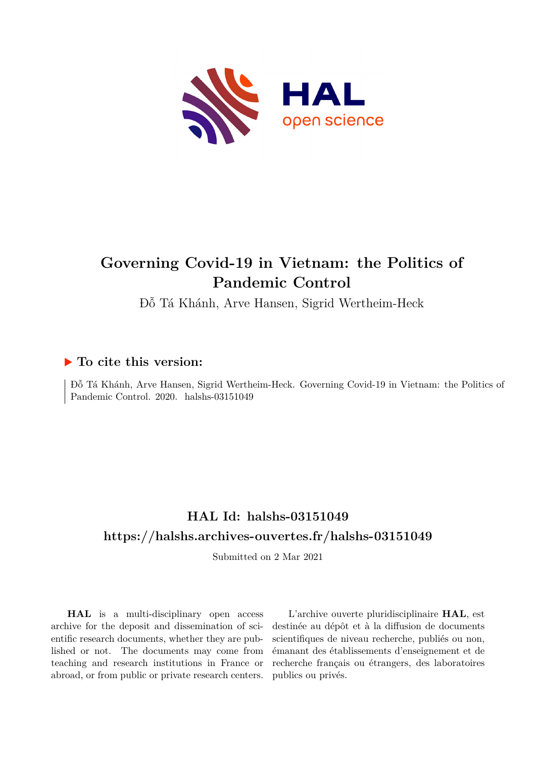

# **Governing Covid-19 in Vietnam: the Politics of Pandemic Control**

Đỗ Tá Khánh, Arve Hansen, Sigrid Wertheim-Heck

### **To cite this version:**

Đỗ Tá Khánh, Arve Hansen, Sigrid Wertheim-Heck. Governing Covid-19 in Vietnam: the Politics of Pandemic Control. 2020. halshs-03151049

## **HAL Id: halshs-03151049 <https://halshs.archives-ouvertes.fr/halshs-03151049>**

Submitted on 2 Mar 2021

**HAL** is a multi-disciplinary open access archive for the deposit and dissemination of scientific research documents, whether they are published or not. The documents may come from teaching and research institutions in France or abroad, or from public or private research centers.

L'archive ouverte pluridisciplinaire **HAL**, est destinée au dépôt et à la diffusion de documents scientifiques de niveau recherche, publiés ou non, émanant des établissements d'enseignement et de recherche français ou étrangers, des laboratoires publics ou privés.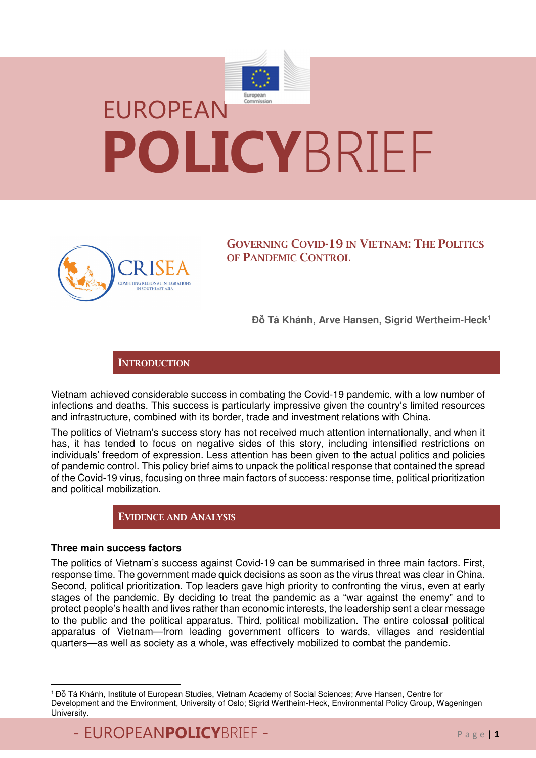



**GOVERNING COVID-19 IN VIETNAM: THE POLITICS OF PANDEMIC CONTROL**

**Đỗ Tá Khánh, Arve Hansen, Sigrid Wertheim-Heck<sup>1</sup>**

**INTRODUCTION**

Vietnam achieved considerable success in combating the Covid-19 pandemic, with a low number of infections and deaths. This success is particularly impressive given the country's limited resources and infrastructure, combined with its border, trade and investment relations with China.

The politics of Vietnam's success story has not received much attention internationally, and when it has, it has tended to focus on negative sides of this story, including intensified restrictions on individuals' freedom of expression. Less attention has been given to the actual politics and policies of pandemic control. This policy brief aims to unpack the political response that contained the spread of the Covid-19 virus, focusing on three main factors of success: response time, political prioritization and political mobilization.

**EVIDENCE AND ANALYSIS** 

#### **Three main success factors**

 $\overline{a}$ 

The politics of Vietnam's success against Covid-19 can be summarised in three main factors. First, response time. The government made quick decisions as soon as the virus threat was clear in China. Second, political prioritization. Top leaders gave high priority to confronting the virus, even at early stages of the pandemic. By deciding to treat the pandemic as a "war against the enemy" and to protect people's health and lives rather than economic interests, the leadership sent a clear message to the public and the political apparatus. Third, political mobilization. The entire colossal political apparatus of Vietnam—from leading government officers to wards, villages and residential quarters—as well as society as a whole, was effectively mobilized to combat the pandemic.

<sup>1</sup>Đỗ Tá Khánh, Institute of European Studies, Vietnam Academy of Social Sciences; Arve Hansen, Centre for Development and the Environment, University of Oslo; Sigrid Wertheim-Heck, Environmental Policy Group, Wageningen University.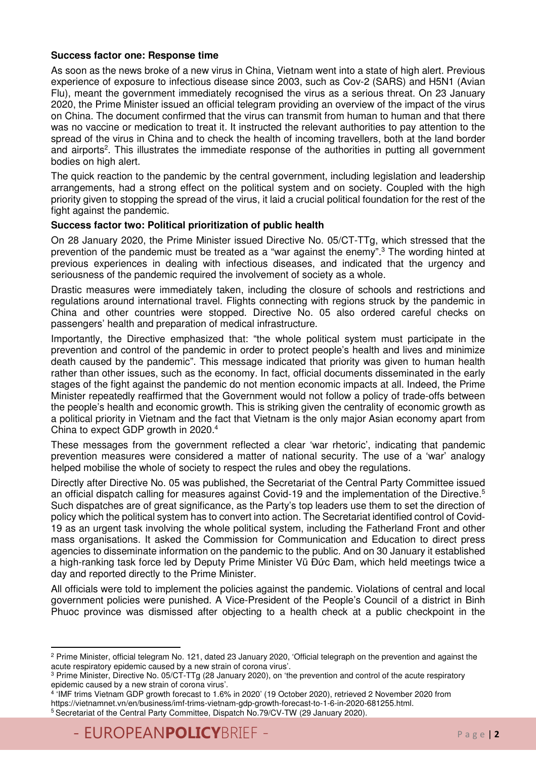#### **Success factor one: Response time**

As soon as the news broke of a new virus in China, Vietnam went into a state of high alert. Previous experience of exposure to infectious disease since 2003, such as Cov-2 (SARS) and H5N1 (Avian Flu), meant the government immediately recognised the virus as a serious threat. On 23 January 2020, the Prime Minister issued an official telegram providing an overview of the impact of the virus on China. The document confirmed that the virus can transmit from human to human and that there was no vaccine or medication to treat it. It instructed the relevant authorities to pay attention to the spread of the virus in China and to check the health of incoming travellers, both at the land border and airports<sup>2</sup>. This illustrates the immediate response of the authorities in putting all government bodies on high alert.

The quick reaction to the pandemic by the central government, including legislation and leadership arrangements, had a strong effect on the political system and on society. Coupled with the high priority given to stopping the spread of the virus, it laid a crucial political foundation for the rest of the fight against the pandemic.

#### **Success factor two: Political prioritization of public health**

On 28 January 2020, the Prime Minister issued Directive No. 05/CT-TTg, which stressed that the prevention of the pandemic must be treated as a "war against the enemy".<sup>3</sup> The wording hinted at previous experiences in dealing with infectious diseases, and indicated that the urgency and seriousness of the pandemic required the involvement of society as a whole.

Drastic measures were immediately taken, including the closure of schools and restrictions and regulations around international travel. Flights connecting with regions struck by the pandemic in China and other countries were stopped. Directive No. 05 also ordered careful checks on passengers' health and preparation of medical infrastructure.

Importantly, the Directive emphasized that: "the whole political system must participate in the prevention and control of the pandemic in order to protect people's health and lives and minimize death caused by the pandemic". This message indicated that priority was given to human health rather than other issues, such as the economy. In fact, official documents disseminated in the early stages of the fight against the pandemic do not mention economic impacts at all. Indeed, the Prime Minister repeatedly reaffirmed that the Government would not follow a policy of trade-offs between the people's health and economic growth. This is striking given the centrality of economic growth as a political priority in Vietnam and the fact that Vietnam is the only major Asian economy apart from China to expect GDP growth in 2020.<sup>4</sup>

These messages from the government reflected a clear 'war rhetoric', indicating that pandemic prevention measures were considered a matter of national security. The use of a 'war' analogy helped mobilise the whole of society to respect the rules and obey the regulations.

Directly after Directive No. 05 was published, the Secretariat of the Central Party Committee issued an official dispatch calling for measures against Covid-19 and the implementation of the Directive.<sup>5</sup> Such dispatches are of great significance, as the Party's top leaders use them to set the direction of policy which the political system has to convert into action. The Secretariat identified control of Covid-19 as an urgent task involving the whole political system, including the Fatherland Front and other mass organisations. It asked the Commission for Communication and Education to direct press agencies to disseminate information on the pandemic to the public. And on 30 January it established a high-ranking task force led by Deputy Prime Minister Vũ Đức Đam, which held meetings twice a day and reported directly to the Prime Minister.

All officials were told to implement the policies against the pandemic. Violations of central and local government policies were punished. A Vice-President of the People's Council of a district in Binh Phuoc province was dismissed after objecting to a health check at a public checkpoint in the

l

<sup>2</sup> Prime Minister, official telegram No. 121, dated 23 January 2020, 'Official telegraph on the prevention and against the acute respiratory epidemic caused by a new strain of corona virus'.

<sup>3</sup> Prime Minister, Directive No. 05/CT-TTg (28 January 2020), on 'the prevention and control of the acute respiratory epidemic caused by a new strain of corona virus'.

<sup>4</sup> 'IMF trims Vietnam GDP growth forecast to 1.6% in 2020' (19 October 2020), retrieved 2 November 2020 from https://vietnamnet.vn/en/business/imf-trims-vietnam-gdp-growth-forecast-to-1-6-in-2020-681255.html. 5 Secretariat of the Central Party Committee, Dispatch No.79/CV-TW (29 January 2020).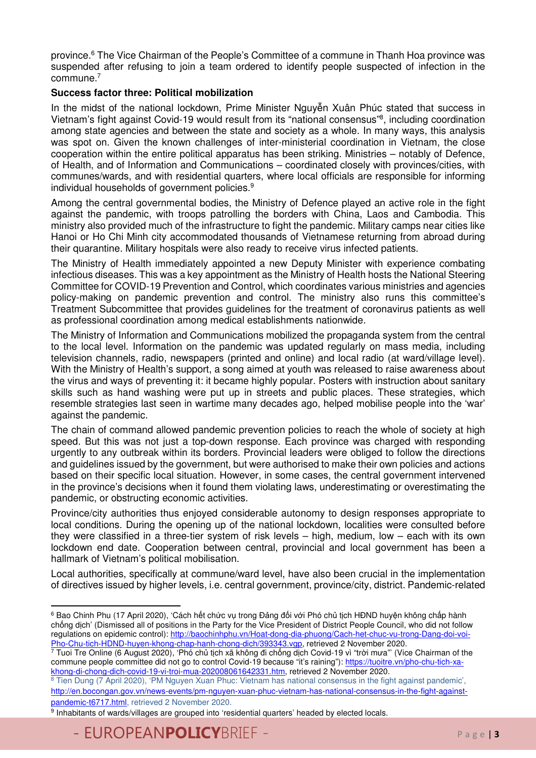province.<sup>6</sup> The Vice Chairman of the People's Committee of a commune in Thanh Hoa province was suspended after refusing to join a team ordered to identify people suspected of infection in the commune.<sup>7</sup>

#### **Success factor three: Political mobilization**

In the midst of the national lockdown, Prime Minister Nguyễn Xuân Phúc stated that success in Vietnam's fight against Covid-19 would result from its "national consensus"<sup>8</sup> , including coordination among state agencies and between the state and society as a whole. In many ways, this analysis was spot on. Given the known challenges of inter-ministerial coordination in Vietnam, the close cooperation within the entire political apparatus has been striking. Ministries – notably of Defence, of Health, and of Information and Communications – coordinated closely with provinces/cities, with communes/wards, and with residential quarters, where local officials are responsible for informing individual households of government policies.<sup>9</sup>

Among the central governmental bodies, the Ministry of Defence played an active role in the fight against the pandemic, with troops patrolling the borders with China, Laos and Cambodia. This ministry also provided much of the infrastructure to fight the pandemic. Military camps near cities like Hanoi or Ho Chi Minh city accommodated thousands of Vietnamese returning from abroad during their quarantine. Military hospitals were also ready to receive virus infected patients.

The Ministry of Health immediately appointed a new Deputy Minister with experience combating infectious diseases. This was a key appointment as the Ministry of Health hosts the National Steering Committee for COVID-19 Prevention and Control, which coordinates various ministries and agencies policy-making on pandemic prevention and control. The ministry also runs this committee's Treatment Subcommittee that provides guidelines for the treatment of coronavirus patients as well as professional coordination among medical establishments nationwide.

The Ministry of Information and Communications mobilized the propaganda system from the central to the local level. Information on the pandemic was updated regularly on mass media, including television channels, radio, newspapers (printed and online) and local radio (at ward/village level). With the Ministry of Health's support, a song aimed at youth was released to raise awareness about the virus and ways of preventing it: it became highly popular. Posters with instruction about sanitary skills such as hand washing were put up in streets and public places. These strategies, which resemble strategies last seen in wartime many decades ago, helped mobilise people into the 'war' against the pandemic.

The chain of command allowed pandemic prevention policies to reach the whole of society at high speed. But this was not just a top-down response. Each province was charged with responding urgently to any outbreak within its borders. Provincial leaders were obliged to follow the directions and guidelines issued by the government, but were authorised to make their own policies and actions based on their specific local situation. However, in some cases, the central government intervened in the province's decisions when it found them violating laws, underestimating or overestimating the pandemic, or obstructing economic activities.

Province/city authorities thus enjoyed considerable autonomy to design responses appropriate to local conditions. During the opening up of the national lockdown, localities were consulted before they were classified in a three-tier system of risk levels – high, medium, low – each with its own lockdown end date. Cooperation between central, provincial and local government has been a hallmark of Vietnam's political mobilisation.

Local authorities, specifically at commune/ward level, have also been crucial in the implementation of directives issued by higher levels, i.e. central government, province/city, district. Pandemic-related

 $\overline{a}$ 6 Bao Chinh Phu (17 April 2020), 'Cách hết chức vụ trong Đảng đối với Phó chủ tịch HĐND huyện không chấp hành chống dịch' (Dismissed all of positions in the Party for the Vice President of District People Council, who did not follow regulations on epidemic control): http://baochinhphu.vn/Hoat-dong-dia-phuong/Cach-het-chuc-vu-trong-Dang-doi-voi-

<sup>&</sup>lt;u>Pho-Chu-tich-HDND-huyen-khong-chap-hanh-chong-dich/393343.vgp,</u> retrieved 2 November 2020.<br><sup>7</sup> Tuoi Tre Online (6 August 2020), 'Phó chủ tịch xã không đi chống dịch Covid-19 vì "trời mưa"' (Vice Chairman of the commune people committee did not go to control Covid-19 because "it's raining"): https://tuoitre.vn/pho-chu-tich-xakhong-di-chong-dich-covid-19-vi-troi-mua-202008061642331.htm, retrieved 2 November 2020.

<sup>&</sup>lt;sup>8</sup> Tien Dung (7 April 2020), 'PM Nguyen Xuan Phuc: Vietnam has national consensus in the fight against pandemic', http://en.bocongan.gov.vn/news-events/pm-nguyen-xuan-phuc-vietnam-has-national-consensus-in-the-fight-againstpandemic-t6717.html, retrieved 2 November 2020.

<sup>&</sup>lt;sup>9</sup> Inhabitants of wards/villages are grouped into 'residential quarters' headed by elected locals.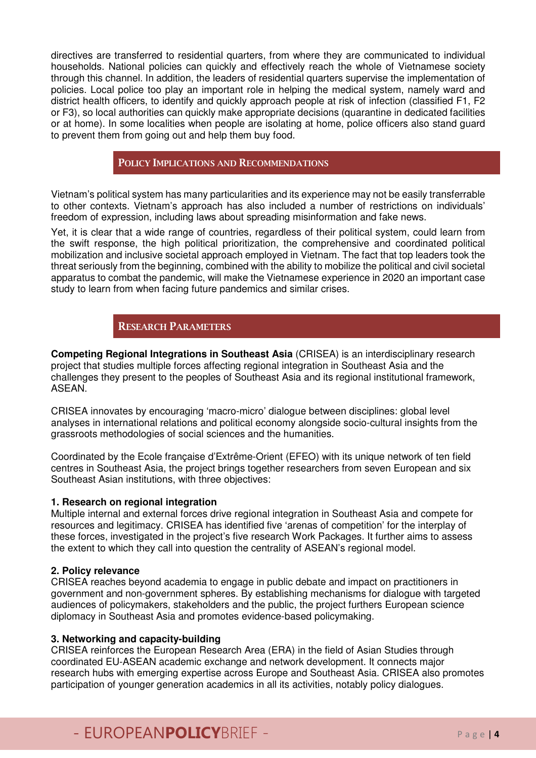directives are transferred to residential quarters, from where they are communicated to individual households. National policies can quickly and effectively reach the whole of Vietnamese society through this channel. In addition, the leaders of residential quarters supervise the implementation of policies. Local police too play an important role in helping the medical system, namely ward and district health officers, to identify and quickly approach people at risk of infection (classified F1, F2 or F3), so local authorities can quickly make appropriate decisions (quarantine in dedicated facilities or at home). In some localities when people are isolating at home, police officers also stand guard to prevent them from going out and help them buy food.

#### **POLICY IMPLICATIONS AND RECOMMENDATIONS**

Vietnam's political system has many particularities and its experience may not be easily transferrable to other contexts. Vietnam's approach has also included a number of restrictions on individuals' freedom of expression, including laws about spreading misinformation and fake news.

Yet, it is clear that a wide range of countries, regardless of their political system, could learn from the swift response, the high political prioritization, the comprehensive and coordinated political mobilization and inclusive societal approach employed in Vietnam. The fact that top leaders took the threat seriously from the beginning, combined with the ability to mobilize the political and civil societal apparatus to combat the pandemic, will make the Vietnamese experience in 2020 an important case study to learn from when facing future pandemics and similar crises.

### **RESEARCH PARAMETERS**

**Competing Regional Integrations in Southeast Asia** (CRISEA) is an interdisciplinary research project that studies multiple forces affecting regional integration in Southeast Asia and the challenges they present to the peoples of Southeast Asia and its regional institutional framework, ASEAN.

CRISEA innovates by encouraging 'macro-micro' dialogue between disciplines: global level analyses in international relations and political economy alongside socio-cultural insights from the grassroots methodologies of social sciences and the humanities.

Coordinated by the Ecole française d'Extrême-Orient (EFEO) with its unique network of ten field centres in Southeast Asia, the project brings together researchers from seven European and six Southeast Asian institutions, with three objectives:

#### **1. Research on regional integration**

Multiple internal and external forces drive regional integration in Southeast Asia and compete for resources and legitimacy. CRISEA has identified five 'arenas of competition' for the interplay of these forces, investigated in the project's five research Work Packages. It further aims to assess the extent to which they call into question the centrality of ASEAN's regional model.

#### **2. Policy relevance**

CRISEA reaches beyond academia to engage in public debate and impact on practitioners in government and non-government spheres. By establishing mechanisms for dialogue with targeted audiences of policymakers, stakeholders and the public, the project furthers European science diplomacy in Southeast Asia and promotes evidence-based policymaking.

#### **3. Networking and capacity-building**

CRISEA reinforces the European Research Area (ERA) in the field of Asian Studies through coordinated EU-ASEAN academic exchange and network development. It connects major research hubs with emerging expertise across Europe and Southeast Asia. CRISEA also promotes participation of younger generation academics in all its activities, notably policy dialogues.

# - EUROPEAN**POLICY**BRIEF - P a g e <sup>|</sup>**<sup>4</sup>**